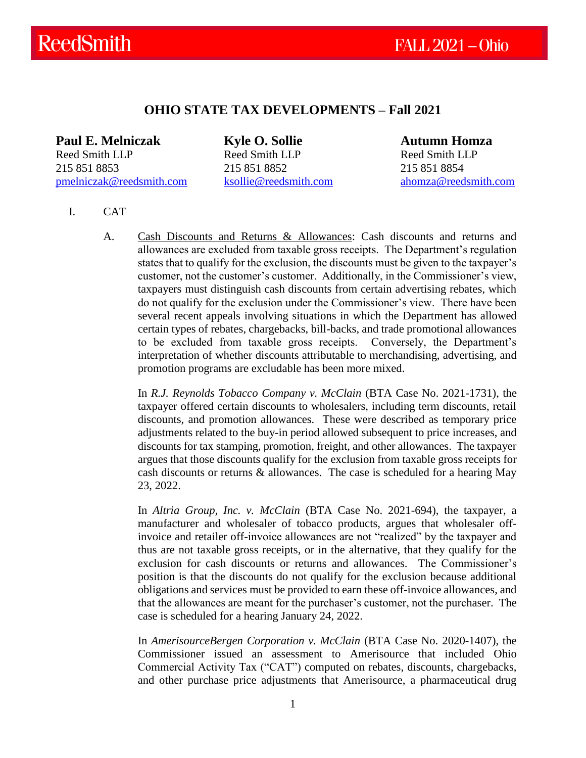# **OHIO STATE TAX DEVELOPMENTS – Fall 2021**

**Paul E. Melniczak Kyle O. Sollie Autumn Homza** Reed Smith LLP Reed Smith LLP Reed Smith LLP 215 851 8853 215 851 8852 215 851 8854 [pmelniczak@reedsmith.com](mailto:pmelniczak@reedsmith.com) [ksollie@reedsmith.com](mailto:ksollie@reedsmith.com) [ahomza@reedsmith.com](mailto:ahomza@reedsmith.com)

- I. CAT
	- A. Cash Discounts and Returns & Allowances: Cash discounts and returns and allowances are excluded from taxable gross receipts. The Department's regulation states that to qualify for the exclusion, the discounts must be given to the taxpayer's customer, not the customer's customer. Additionally, in the Commissioner's view, taxpayers must distinguish cash discounts from certain advertising rebates, which do not qualify for the exclusion under the Commissioner's view. There have been several recent appeals involving situations in which the Department has allowed certain types of rebates, chargebacks, bill-backs, and trade promotional allowances to be excluded from taxable gross receipts. Conversely, the Department's interpretation of whether discounts attributable to merchandising, advertising, and promotion programs are excludable has been more mixed.

In *R.J. Reynolds Tobacco Company v. McClain* (BTA Case No. 2021-1731), the taxpayer offered certain discounts to wholesalers, including term discounts, retail discounts, and promotion allowances. These were described as temporary price adjustments related to the buy-in period allowed subsequent to price increases, and discounts for tax stamping, promotion, freight, and other allowances. The taxpayer argues that those discounts qualify for the exclusion from taxable gross receipts for cash discounts or returns & allowances. The case is scheduled for a hearing May 23, 2022.

In *Altria Group, Inc. v. McClain* (BTA Case No. 2021-694), the taxpayer, a manufacturer and wholesaler of tobacco products, argues that wholesaler offinvoice and retailer off-invoice allowances are not "realized" by the taxpayer and thus are not taxable gross receipts, or in the alternative, that they qualify for the exclusion for cash discounts or returns and allowances. The Commissioner's position is that the discounts do not qualify for the exclusion because additional obligations and services must be provided to earn these off-invoice allowances, and that the allowances are meant for the purchaser's customer, not the purchaser. The case is scheduled for a hearing January 24, 2022.

In *AmerisourceBergen Corporation v. McClain* (BTA Case No. 2020-1407), the Commissioner issued an assessment to Amerisource that included Ohio Commercial Activity Tax ("CAT") computed on rebates, discounts, chargebacks, and other purchase price adjustments that Amerisource, a pharmaceutical drug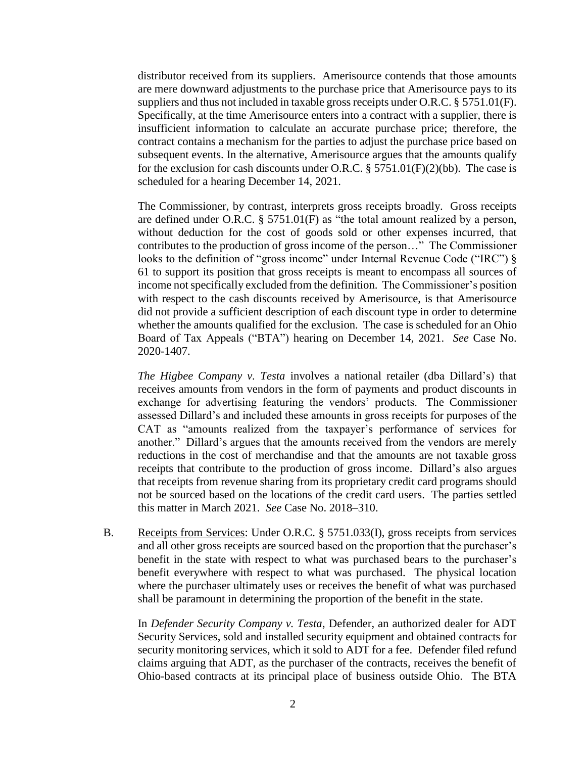distributor received from its suppliers. Amerisource contends that those amounts are mere downward adjustments to the purchase price that Amerisource pays to its suppliers and thus not included in taxable gross receipts under O.R.C. § 5751.01(F). Specifically, at the time Amerisource enters into a contract with a supplier, there is insufficient information to calculate an accurate purchase price; therefore, the contract contains a mechanism for the parties to adjust the purchase price based on subsequent events. In the alternative, Amerisource argues that the amounts qualify for the exclusion for cash discounts under O.R.C. § 5751.01(F)(2)(bb). The case is scheduled for a hearing December 14, 2021.

The Commissioner, by contrast, interprets gross receipts broadly. Gross receipts are defined under O.R.C. § 5751.01(F) as "the total amount realized by a person, without deduction for the cost of goods sold or other expenses incurred, that contributes to the production of gross income of the person…" The Commissioner looks to the definition of "gross income" under Internal Revenue Code ("IRC")  $\S$ 61 to support its position that gross receipts is meant to encompass all sources of income not specifically excluded from the definition. The Commissioner's position with respect to the cash discounts received by Amerisource, is that Amerisource did not provide a sufficient description of each discount type in order to determine whether the amounts qualified for the exclusion. The case is scheduled for an Ohio Board of Tax Appeals ("BTA") hearing on December 14, 2021. *See* Case No. 2020-1407.

*The Higbee Company v. Testa* involves a national retailer (dba Dillard's) that receives amounts from vendors in the form of payments and product discounts in exchange for advertising featuring the vendors' products. The Commissioner assessed Dillard's and included these amounts in gross receipts for purposes of the CAT as "amounts realized from the taxpayer's performance of services for another." Dillard's argues that the amounts received from the vendors are merely reductions in the cost of merchandise and that the amounts are not taxable gross receipts that contribute to the production of gross income. Dillard's also argues that receipts from revenue sharing from its proprietary credit card programs should not be sourced based on the locations of the credit card users. The parties settled this matter in March 2021. *See* Case No. 2018–310.

B. Receipts from Services: Under O.R.C. § 5751.033(I), gross receipts from services and all other gross receipts are sourced based on the proportion that the purchaser's benefit in the state with respect to what was purchased bears to the purchaser's benefit everywhere with respect to what was purchased. The physical location where the purchaser ultimately uses or receives the benefit of what was purchased shall be paramount in determining the proportion of the benefit in the state.

In *Defender Security Company v. Testa*, Defender, an authorized dealer for ADT Security Services, sold and installed security equipment and obtained contracts for security monitoring services, which it sold to ADT for a fee. Defender filed refund claims arguing that ADT, as the purchaser of the contracts, receives the benefit of Ohio-based contracts at its principal place of business outside Ohio. The BTA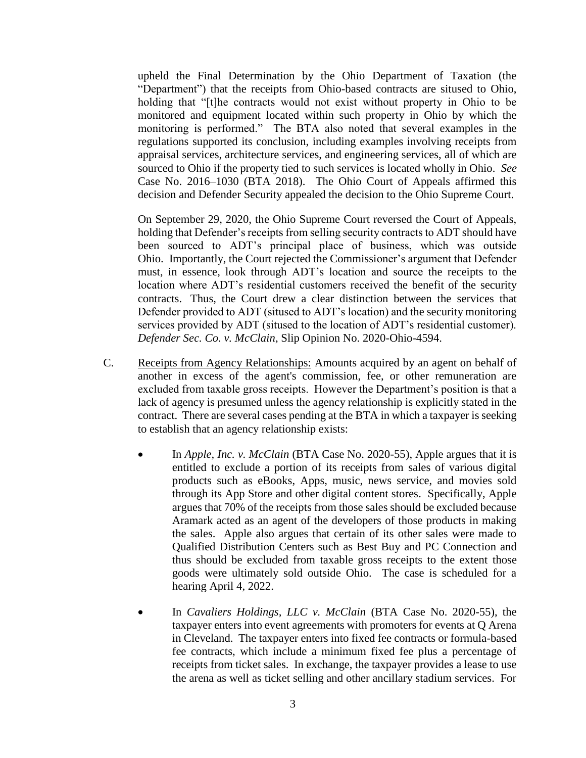upheld the Final Determination by the Ohio Department of Taxation (the "Department") that the receipts from Ohio-based contracts are sitused to Ohio, holding that "[t]he contracts would not exist without property in Ohio to be monitored and equipment located within such property in Ohio by which the monitoring is performed." The BTA also noted that several examples in the regulations supported its conclusion, including examples involving receipts from appraisal services, architecture services, and engineering services, all of which are sourced to Ohio if the property tied to such services is located wholly in Ohio. *See* Case No. 2016–1030 (BTA 2018). The Ohio Court of Appeals affirmed this decision and Defender Security appealed the decision to the Ohio Supreme Court.

On September 29, 2020, the Ohio Supreme Court reversed the Court of Appeals, holding that Defender's receipts from selling security contracts to ADT should have been sourced to ADT's principal place of business, which was outside Ohio. Importantly, the Court rejected the Commissioner's argument that Defender must, in essence, look through ADT's location and source the receipts to the location where ADT's residential customers received the benefit of the security contracts. Thus, the Court drew a clear distinction between the services that Defender provided to ADT (sitused to ADT's location) and the security monitoring services provided by ADT (sitused to the location of ADT's residential customer). *Defender Sec. Co. v. McClain*, Slip Opinion No. 2020-Ohio-4594.

- C. Receipts from Agency Relationships: Amounts acquired by an agent on behalf of another in excess of the agent's commission, fee, or other remuneration are excluded from taxable gross receipts. However the Department's position is that a lack of agency is presumed unless the agency relationship is explicitly stated in the contract. There are several cases pending at the BTA in which a taxpayer is seeking to establish that an agency relationship exists:
	- In *Apple, Inc. v. McClain* (BTA Case No. 2020-55), Apple argues that it is entitled to exclude a portion of its receipts from sales of various digital products such as eBooks, Apps, music, news service, and movies sold through its App Store and other digital content stores. Specifically, Apple argues that 70% of the receipts from those sales should be excluded because Aramark acted as an agent of the developers of those products in making the sales. Apple also argues that certain of its other sales were made to Qualified Distribution Centers such as Best Buy and PC Connection and thus should be excluded from taxable gross receipts to the extent those goods were ultimately sold outside Ohio. The case is scheduled for a hearing April 4, 2022.
	- In *Cavaliers Holdings, LLC v. McClain* (BTA Case No. 2020-55), the taxpayer enters into event agreements with promoters for events at Q Arena in Cleveland. The taxpayer enters into fixed fee contracts or formula-based fee contracts, which include a minimum fixed fee plus a percentage of receipts from ticket sales. In exchange, the taxpayer provides a lease to use the arena as well as ticket selling and other ancillary stadium services. For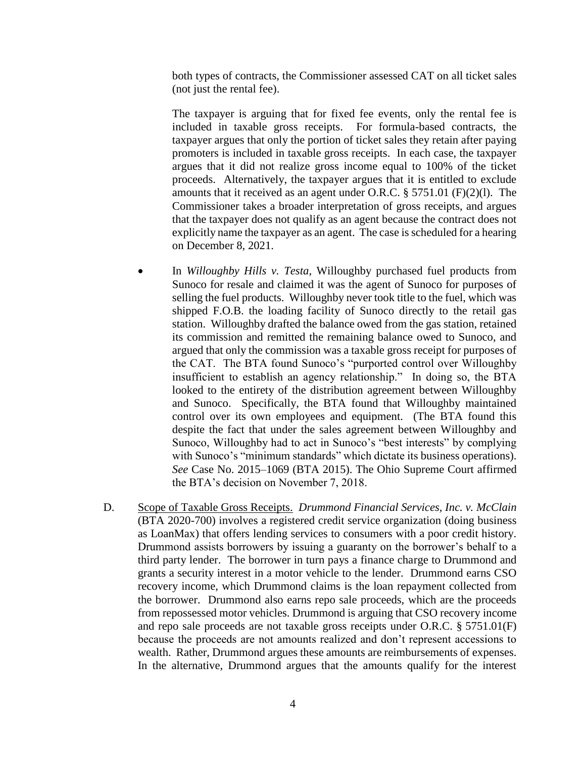both types of contracts, the Commissioner assessed CAT on all ticket sales (not just the rental fee).

The taxpayer is arguing that for fixed fee events, only the rental fee is included in taxable gross receipts. For formula-based contracts, the taxpayer argues that only the portion of ticket sales they retain after paying promoters is included in taxable gross receipts. In each case, the taxpayer argues that it did not realize gross income equal to 100% of the ticket proceeds. Alternatively, the taxpayer argues that it is entitled to exclude amounts that it received as an agent under O.R.C. § 5751.01 (F)(2)(l). The Commissioner takes a broader interpretation of gross receipts, and argues that the taxpayer does not qualify as an agent because the contract does not explicitly name the taxpayer as an agent. The case is scheduled for a hearing on December 8, 2021.

- In *Willoughby Hills v. Testa*, Willoughby purchased fuel products from Sunoco for resale and claimed it was the agent of Sunoco for purposes of selling the fuel products. Willoughby never took title to the fuel, which was shipped F.O.B. the loading facility of Sunoco directly to the retail gas station. Willoughby drafted the balance owed from the gas station, retained its commission and remitted the remaining balance owed to Sunoco, and argued that only the commission was a taxable gross receipt for purposes of the CAT. The BTA found Sunoco's "purported control over Willoughby insufficient to establish an agency relationship." In doing so, the BTA looked to the entirety of the distribution agreement between Willoughby and Sunoco. Specifically, the BTA found that Willoughby maintained control over its own employees and equipment. (The BTA found this despite the fact that under the sales agreement between Willoughby and Sunoco, Willoughby had to act in Sunoco's "best interests" by complying with Sunoco's "minimum standards" which dictate its business operations). *See* Case No. 2015–1069 (BTA 2015). The Ohio Supreme Court affirmed the BTA's decision on November 7, 2018.
- D. Scope of Taxable Gross Receipts. *Drummond Financial Services, Inc. v. McClain* (BTA 2020-700) involves a registered credit service organization (doing business as LoanMax) that offers lending services to consumers with a poor credit history. Drummond assists borrowers by issuing a guaranty on the borrower's behalf to a third party lender. The borrower in turn pays a finance charge to Drummond and grants a security interest in a motor vehicle to the lender. Drummond earns CSO recovery income, which Drummond claims is the loan repayment collected from the borrower. Drummond also earns repo sale proceeds, which are the proceeds from repossessed motor vehicles. Drummond is arguing that CSO recovery income and repo sale proceeds are not taxable gross receipts under O.R.C. § 5751.01(F) because the proceeds are not amounts realized and don't represent accessions to wealth. Rather, Drummond argues these amounts are reimbursements of expenses. In the alternative, Drummond argues that the amounts qualify for the interest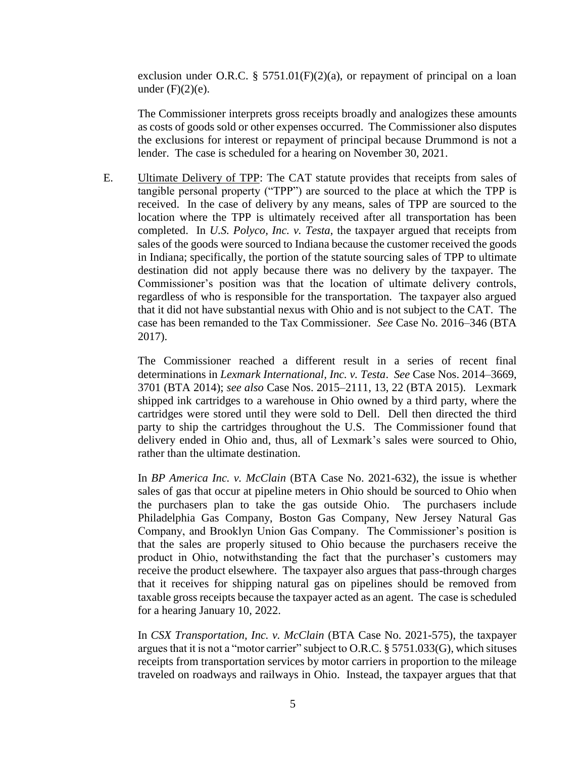exclusion under O.R.C. § 5751.01 $(F)(2)(a)$ , or repayment of principal on a loan under  $(F)(2)(e)$ .

The Commissioner interprets gross receipts broadly and analogizes these amounts as costs of goods sold or other expenses occurred. The Commissioner also disputes the exclusions for interest or repayment of principal because Drummond is not a lender. The case is scheduled for a hearing on November 30, 2021.

E. Ultimate Delivery of TPP: The CAT statute provides that receipts from sales of tangible personal property ("TPP") are sourced to the place at which the TPP is received. In the case of delivery by any means, sales of TPP are sourced to the location where the TPP is ultimately received after all transportation has been completed. In *U.S. Polyco, Inc. v. Testa*, the taxpayer argued that receipts from sales of the goods were sourced to Indiana because the customer received the goods in Indiana; specifically, the portion of the statute sourcing sales of TPP to ultimate destination did not apply because there was no delivery by the taxpayer. The Commissioner's position was that the location of ultimate delivery controls, regardless of who is responsible for the transportation. The taxpayer also argued that it did not have substantial nexus with Ohio and is not subject to the CAT. The case has been remanded to the Tax Commissioner. *See* Case No. 2016–346 (BTA 2017).

The Commissioner reached a different result in a series of recent final determinations in *Lexmark International, Inc. v. Testa*. *See* Case Nos. 2014–3669, 3701 (BTA 2014); *see also* Case Nos. 2015–2111, 13, 22 (BTA 2015). Lexmark shipped ink cartridges to a warehouse in Ohio owned by a third party, where the cartridges were stored until they were sold to Dell. Dell then directed the third party to ship the cartridges throughout the U.S. The Commissioner found that delivery ended in Ohio and, thus, all of Lexmark's sales were sourced to Ohio, rather than the ultimate destination.

In *BP America Inc. v. McClain* (BTA Case No. 2021-632), the issue is whether sales of gas that occur at pipeline meters in Ohio should be sourced to Ohio when the purchasers plan to take the gas outside Ohio. The purchasers include Philadelphia Gas Company, Boston Gas Company, New Jersey Natural Gas Company, and Brooklyn Union Gas Company. The Commissioner's position is that the sales are properly sitused to Ohio because the purchasers receive the product in Ohio, notwithstanding the fact that the purchaser's customers may receive the product elsewhere. The taxpayer also argues that pass-through charges that it receives for shipping natural gas on pipelines should be removed from taxable gross receipts because the taxpayer acted as an agent. The case is scheduled for a hearing January 10, 2022.

In *CSX Transportation, Inc. v. McClain* (BTA Case No. 2021-575), the taxpayer argues that it is not a "motor carrier" subject to O.R.C.  $\S 5751.033(G)$ , which situses receipts from transportation services by motor carriers in proportion to the mileage traveled on roadways and railways in Ohio. Instead, the taxpayer argues that that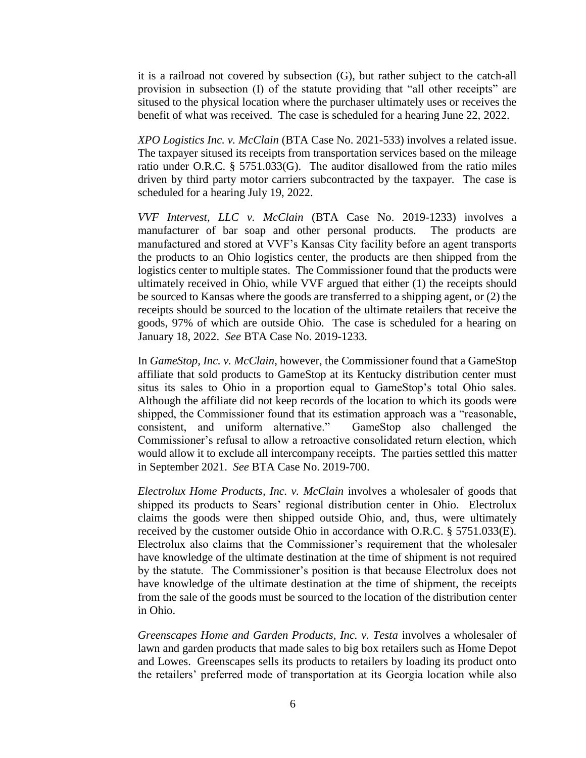it is a railroad not covered by subsection (G), but rather subject to the catch-all provision in subsection (I) of the statute providing that "all other receipts" are sitused to the physical location where the purchaser ultimately uses or receives the benefit of what was received. The case is scheduled for a hearing June 22, 2022.

*XPO Logistics Inc. v. McClain* (BTA Case No. 2021-533) involves a related issue. The taxpayer sitused its receipts from transportation services based on the mileage ratio under O.R.C. § 5751.033(G). The auditor disallowed from the ratio miles driven by third party motor carriers subcontracted by the taxpayer. The case is scheduled for a hearing July 19, 2022.

*VVF Intervest, LLC v. McClain* (BTA Case No. 2019-1233) involves a manufacturer of bar soap and other personal products. The products are manufactured and stored at VVF's Kansas City facility before an agent transports the products to an Ohio logistics center, the products are then shipped from the logistics center to multiple states. The Commissioner found that the products were ultimately received in Ohio, while VVF argued that either (1) the receipts should be sourced to Kansas where the goods are transferred to a shipping agent, or (2) the receipts should be sourced to the location of the ultimate retailers that receive the goods, 97% of which are outside Ohio. The case is scheduled for a hearing on January 18, 2022. *See* BTA Case No. 2019-1233.

In *GameStop, Inc. v. McClain*, however, the Commissioner found that a GameStop affiliate that sold products to GameStop at its Kentucky distribution center must situs its sales to Ohio in a proportion equal to GameStop's total Ohio sales. Although the affiliate did not keep records of the location to which its goods were shipped, the Commissioner found that its estimation approach was a "reasonable, consistent, and uniform alternative." GameStop also challenged the Commissioner's refusal to allow a retroactive consolidated return election, which would allow it to exclude all intercompany receipts. The parties settled this matter in September 2021. *See* BTA Case No. 2019-700.

*Electrolux Home Products, Inc. v. McClain* involves a wholesaler of goods that shipped its products to Sears' regional distribution center in Ohio. Electrolux claims the goods were then shipped outside Ohio, and, thus, were ultimately received by the customer outside Ohio in accordance with O.R.C. § 5751.033(E). Electrolux also claims that the Commissioner's requirement that the wholesaler have knowledge of the ultimate destination at the time of shipment is not required by the statute. The Commissioner's position is that because Electrolux does not have knowledge of the ultimate destination at the time of shipment, the receipts from the sale of the goods must be sourced to the location of the distribution center in Ohio.

*Greenscapes Home and Garden Products, Inc. v. Testa* involves a wholesaler of lawn and garden products that made sales to big box retailers such as Home Depot and Lowes. Greenscapes sells its products to retailers by loading its product onto the retailers' preferred mode of transportation at its Georgia location while also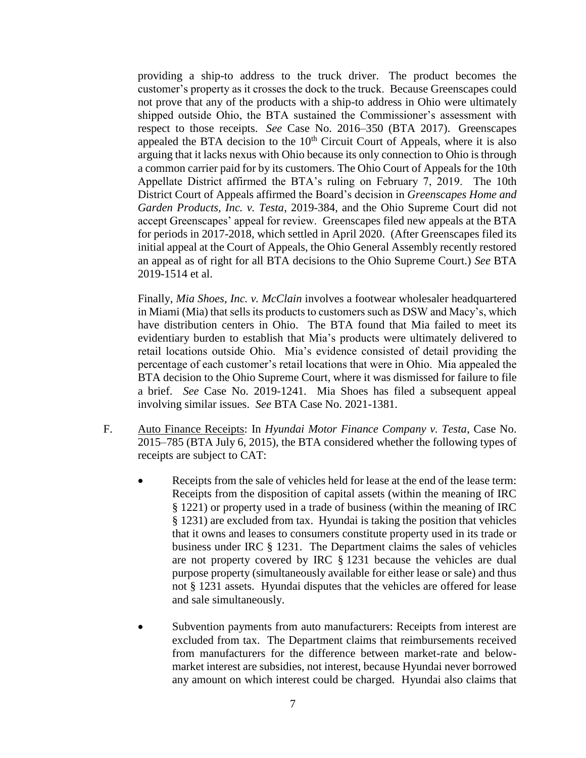providing a ship-to address to the truck driver. The product becomes the customer's property as it crosses the dock to the truck. Because Greenscapes could not prove that any of the products with a ship-to address in Ohio were ultimately shipped outside Ohio, the BTA sustained the Commissioner's assessment with respect to those receipts. *See* Case No. 2016–350 (BTA 2017). Greenscapes appealed the BTA decision to the  $10<sup>th</sup>$  Circuit Court of Appeals, where it is also arguing that it lacks nexus with Ohio because its only connection to Ohio is through a common carrier paid for by its customers. The Ohio Court of Appeals for the 10th Appellate District affirmed the BTA's ruling on February 7, 2019. The 10th District Court of Appeals affirmed the Board's decision in *Greenscapes Home and Garden Products, Inc. v. Testa*, 2019-384, and the Ohio Supreme Court did not accept Greenscapes' appeal for review. Greenscapes filed new appeals at the BTA for periods in 2017-2018, which settled in April 2020. (After Greenscapes filed its initial appeal at the Court of Appeals, the Ohio General Assembly recently restored an appeal as of right for all BTA decisions to the Ohio Supreme Court.) *See* BTA 2019-1514 et al.

Finally, *Mia Shoes, Inc. v. McClain* involves a footwear wholesaler headquartered in Miami (Mia) that sells its products to customers such as DSW and Macy's, which have distribution centers in Ohio. The BTA found that Mia failed to meet its evidentiary burden to establish that Mia's products were ultimately delivered to retail locations outside Ohio. Mia's evidence consisted of detail providing the percentage of each customer's retail locations that were in Ohio. Mia appealed the BTA decision to the Ohio Supreme Court, where it was dismissed for failure to file a brief. *See* Case No. 2019-1241. Mia Shoes has filed a subsequent appeal involving similar issues. *See* BTA Case No. 2021-1381.

- F. Auto Finance Receipts: In *Hyundai Motor Finance Company v. Testa*, Case No. 2015–785 (BTA July 6, 2015), the BTA considered whether the following types of receipts are subject to CAT:
	- Receipts from the sale of vehicles held for lease at the end of the lease term: Receipts from the disposition of capital assets (within the meaning of IRC § 1221) or property used in a trade of business (within the meaning of IRC § 1231) are excluded from tax. Hyundai is taking the position that vehicles that it owns and leases to consumers constitute property used in its trade or business under IRC § 1231. The Department claims the sales of vehicles are not property covered by IRC § 1231 because the vehicles are dual purpose property (simultaneously available for either lease or sale) and thus not § 1231 assets. Hyundai disputes that the vehicles are offered for lease and sale simultaneously.
	- Subvention payments from auto manufacturers: Receipts from interest are excluded from tax. The Department claims that reimbursements received from manufacturers for the difference between market-rate and belowmarket interest are subsidies, not interest, because Hyundai never borrowed any amount on which interest could be charged. Hyundai also claims that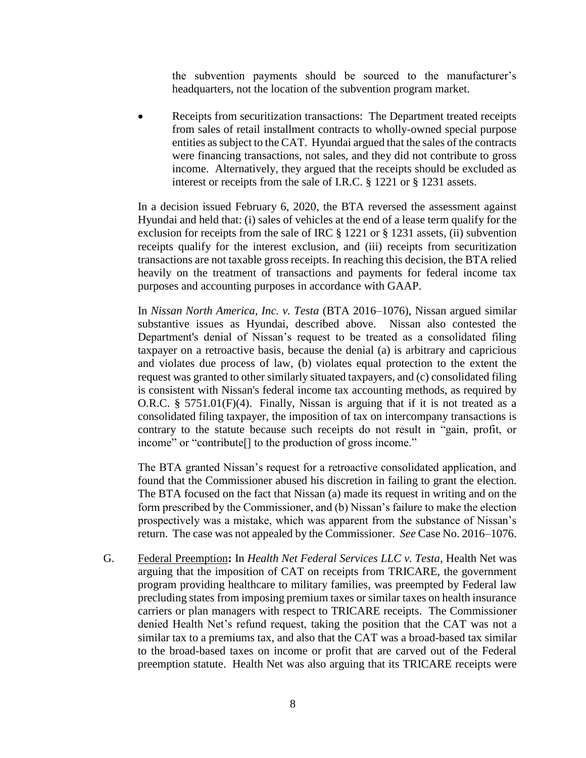the subvention payments should be sourced to the manufacturer's headquarters, not the location of the subvention program market.

 Receipts from securitization transactions: The Department treated receipts from sales of retail installment contracts to wholly-owned special purpose entities as subject to the CAT. Hyundai argued that the sales of the contracts were financing transactions, not sales, and they did not contribute to gross income. Alternatively, they argued that the receipts should be excluded as interest or receipts from the sale of I.R.C. § 1221 or § 1231 assets.

In a decision issued February 6, 2020, the BTA reversed the assessment against Hyundai and held that: (i) sales of vehicles at the end of a lease term qualify for the exclusion for receipts from the sale of IRC § 1221 or § 1231 assets, (ii) subvention receipts qualify for the interest exclusion, and (iii) receipts from securitization transactions are not taxable gross receipts. In reaching this decision, the BTA relied heavily on the treatment of transactions and payments for federal income tax purposes and accounting purposes in accordance with GAAP.

In *Nissan North America, Inc. v. Testa* (BTA 2016–1076), Nissan argued similar substantive issues as Hyundai, described above. Nissan also contested the Department's denial of Nissan's request to be treated as a consolidated filing taxpayer on a retroactive basis, because the denial (a) is arbitrary and capricious and violates due process of law, (b) violates equal protection to the extent the request was granted to other similarly situated taxpayers, and (c) consolidated filing is consistent with Nissan's federal income tax accounting methods, as required by O.R.C. § 5751.01(F)(4). Finally, Nissan is arguing that if it is not treated as a consolidated filing taxpayer, the imposition of tax on intercompany transactions is contrary to the statute because such receipts do not result in "gain, profit, or income" or "contribute[] to the production of gross income."

The BTA granted Nissan's request for a retroactive consolidated application, and found that the Commissioner abused his discretion in failing to grant the election. The BTA focused on the fact that Nissan (a) made its request in writing and on the form prescribed by the Commissioner, and (b) Nissan's failure to make the election prospectively was a mistake, which was apparent from the substance of Nissan's return. The case was not appealed by the Commissioner. *See* Case No. 2016–1076.

G. Federal Preemption**:** In *Health Net Federal Services LLC v. Testa*, Health Net was arguing that the imposition of CAT on receipts from TRICARE, the government program providing healthcare to military families, was preempted by Federal law precluding states from imposing premium taxes or similar taxes on health insurance carriers or plan managers with respect to TRICARE receipts. The Commissioner denied Health Net's refund request, taking the position that the CAT was not a similar tax to a premiums tax, and also that the CAT was a broad-based tax similar to the broad-based taxes on income or profit that are carved out of the Federal preemption statute. Health Net was also arguing that its TRICARE receipts were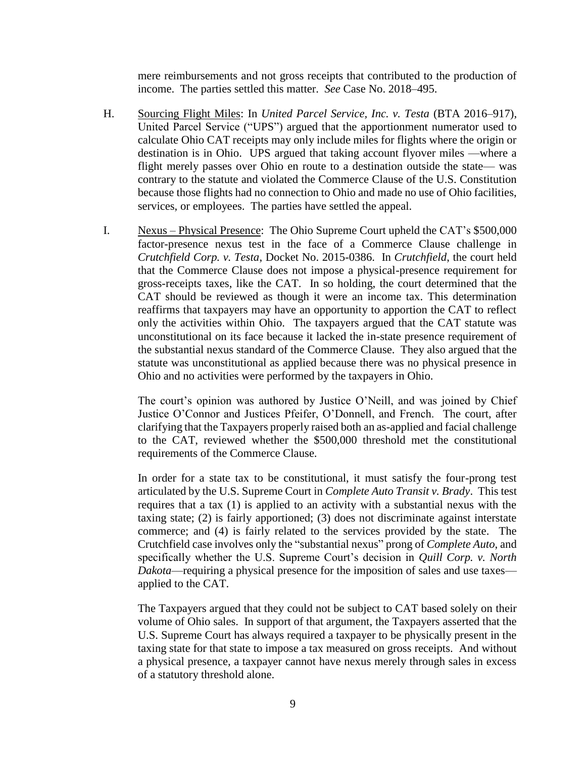mere reimbursements and not gross receipts that contributed to the production of income. The parties settled this matter. *See* Case No. 2018–495.

- H. Sourcing Flight Miles: In *United Parcel Service, Inc. v. Testa* (BTA 2016–917), United Parcel Service ("UPS") argued that the apportionment numerator used to calculate Ohio CAT receipts may only include miles for flights where the origin or destination is in Ohio. UPS argued that taking account flyover miles —where a flight merely passes over Ohio en route to a destination outside the state— was contrary to the statute and violated the Commerce Clause of the U.S. Constitution because those flights had no connection to Ohio and made no use of Ohio facilities, services, or employees. The parties have settled the appeal.
- I. Nexus Physical Presence: The Ohio Supreme Court upheld the CAT's \$500,000 factor-presence nexus test in the face of a Commerce Clause challenge in *Crutchfield Corp. v. Testa*, Docket No. 2015-0386. In *Crutchfield*, the court held that the Commerce Clause does not impose a physical-presence requirement for gross-receipts taxes, like the CAT. In so holding, the court determined that the CAT should be reviewed as though it were an income tax. This determination reaffirms that taxpayers may have an opportunity to apportion the CAT to reflect only the activities within Ohio. The taxpayers argued that the CAT statute was unconstitutional on its face because it lacked the in-state presence requirement of the substantial nexus standard of the Commerce Clause. They also argued that the statute was unconstitutional as applied because there was no physical presence in Ohio and no activities were performed by the taxpayers in Ohio.

The court's opinion was authored by Justice O'Neill, and was joined by Chief Justice O'Connor and Justices Pfeifer, O'Donnell, and French. The court, after clarifying that the Taxpayers properly raised both an as-applied and facial challenge to the CAT, reviewed whether the \$500,000 threshold met the constitutional requirements of the Commerce Clause.

In order for a state tax to be constitutional, it must satisfy the four-prong test articulated by the U.S. Supreme Court in *Complete Auto Transit v. Brady*. This test requires that a tax (1) is applied to an activity with a substantial nexus with the taxing state; (2) is fairly apportioned; (3) does not discriminate against interstate commerce; and (4) is fairly related to the services provided by the state. The Crutchfield case involves only the "substantial nexus" prong of *Complete Auto*, and specifically whether the U.S. Supreme Court's decision in *Quill Corp. v. North Dakota*—requiring a physical presence for the imposition of sales and use taxes applied to the CAT.

The Taxpayers argued that they could not be subject to CAT based solely on their volume of Ohio sales. In support of that argument, the Taxpayers asserted that the U.S. Supreme Court has always required a taxpayer to be physically present in the taxing state for that state to impose a tax measured on gross receipts. And without a physical presence, a taxpayer cannot have nexus merely through sales in excess of a statutory threshold alone.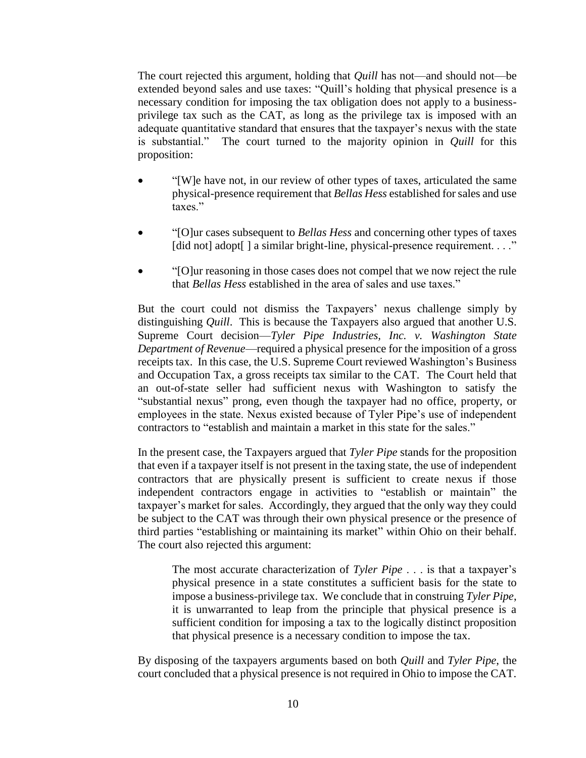The court rejected this argument, holding that *Quill* has not—and should not—be extended beyond sales and use taxes: "Quill's holding that physical presence is a necessary condition for imposing the tax obligation does not apply to a businessprivilege tax such as the CAT, as long as the privilege tax is imposed with an adequate quantitative standard that ensures that the taxpayer's nexus with the state is substantial." The court turned to the majority opinion in *Quill* for this proposition:

- "[W]e have not, in our review of other types of taxes, articulated the same physical-presence requirement that *Bellas Hess* established for sales and use taxes."
- "[O]ur cases subsequent to *Bellas Hess* and concerning other types of taxes [did not] adopt[] a similar bright-line, physical-presence requirement. . . ."
- "[O]ur reasoning in those cases does not compel that we now reject the rule that *Bellas Hess* established in the area of sales and use taxes."

But the court could not dismiss the Taxpayers' nexus challenge simply by distinguishing *Quill*. This is because the Taxpayers also argued that another U.S. Supreme Court decision—*Tyler Pipe Industries, Inc. v. Washington State Department of Revenue*—required a physical presence for the imposition of a gross receipts tax. In this case, the U.S. Supreme Court reviewed Washington's Business and Occupation Tax, a gross receipts tax similar to the CAT. The Court held that an out-of-state seller had sufficient nexus with Washington to satisfy the "substantial nexus" prong, even though the taxpayer had no office, property, or employees in the state. Nexus existed because of Tyler Pipe's use of independent contractors to "establish and maintain a market in this state for the sales."

In the present case, the Taxpayers argued that *Tyler Pipe* stands for the proposition that even if a taxpayer itself is not present in the taxing state, the use of independent contractors that are physically present is sufficient to create nexus if those independent contractors engage in activities to "establish or maintain" the taxpayer's market for sales. Accordingly, they argued that the only way they could be subject to the CAT was through their own physical presence or the presence of third parties "establishing or maintaining its market" within Ohio on their behalf. The court also rejected this argument:

The most accurate characterization of *Tyler Pipe* . . . is that a taxpayer's physical presence in a state constitutes a sufficient basis for the state to impose a business-privilege tax. We conclude that in construing *Tyler Pipe*, it is unwarranted to leap from the principle that physical presence is a sufficient condition for imposing a tax to the logically distinct proposition that physical presence is a necessary condition to impose the tax.

By disposing of the taxpayers arguments based on both *Quill* and *Tyler Pipe*, the court concluded that a physical presence is not required in Ohio to impose the CAT.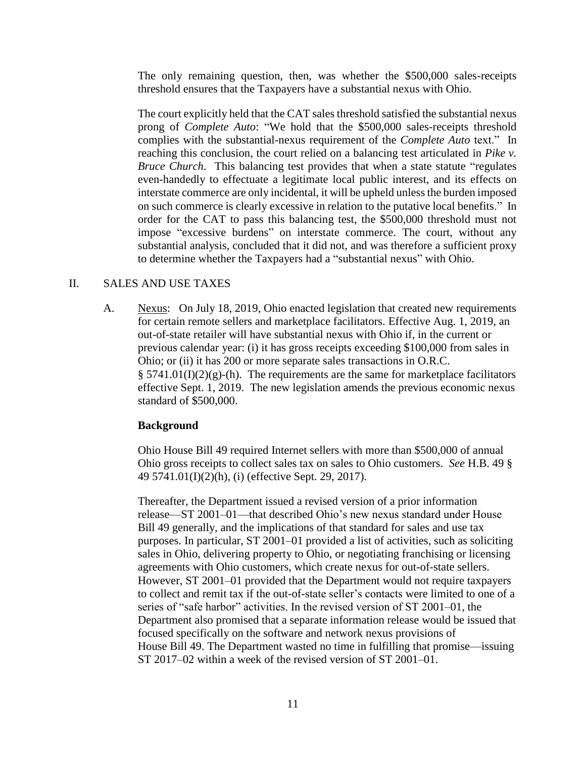The only remaining question, then, was whether the \$500,000 sales-receipts threshold ensures that the Taxpayers have a substantial nexus with Ohio.

The court explicitly held that the CAT sales threshold satisfied the substantial nexus prong of *Complete Auto*: "We hold that the \$500,000 sales-receipts threshold complies with the substantial-nexus requirement of the *Complete Auto* text." In reaching this conclusion, the court relied on a balancing test articulated in *Pike v. Bruce Church*. This balancing test provides that when a state statute "regulates" even-handedly to effectuate a legitimate local public interest, and its effects on interstate commerce are only incidental, it will be upheld unless the burden imposed on such commerce is clearly excessive in relation to the putative local benefits." In order for the CAT to pass this balancing test, the \$500,000 threshold must not impose "excessive burdens" on interstate commerce. The court, without any substantial analysis, concluded that it did not, and was therefore a sufficient proxy to determine whether the Taxpayers had a "substantial nexus" with Ohio.

#### II. SALES AND USE TAXES

A. Nexus: On July 18, 2019, Ohio enacted legislation that created new requirements for certain remote sellers and marketplace facilitators. Effective Aug. 1, 2019, an out-of-state retailer will have substantial nexus with Ohio if, in the current or previous calendar year: (i) it has gross receipts exceeding \$100,000 from sales in Ohio; or (ii) it has 200 or more separate sales transactions in O.R.C.  $\S$  5741.01(I)(2)(g)-(h). The requirements are the same for marketplace facilitators effective Sept. 1, 2019. The new legislation amends the previous economic nexus standard of \$500,000.

# **Background**

Ohio House Bill 49 required Internet sellers with more than \$500,000 of annual Ohio gross receipts to collect sales tax on sales to Ohio customers. *See* H.B. 49 § 49 5741.01(I)(2)(h), (i) (effective Sept. 29, 2017).

Thereafter, the Department issued a revised version of a prior information release—ST 2001–01—that described Ohio's new nexus standard under House Bill 49 generally, and the implications of that standard for sales and use tax purposes. In particular, ST 2001–01 provided a list of activities, such as soliciting sales in Ohio, delivering property to Ohio, or negotiating franchising or licensing agreements with Ohio customers, which create nexus for out-of-state sellers. However, ST 2001–01 provided that the Department would not require taxpayers to collect and remit tax if the out-of-state seller's contacts were limited to one of a series of "safe harbor" activities. In the revised version of ST 2001–01, the Department also promised that a separate information release would be issued that focused specifically on the software and network nexus provisions of House Bill 49. The Department wasted no time in fulfilling that promise—issuing ST 2017–02 within a week of the revised version of ST 2001–01.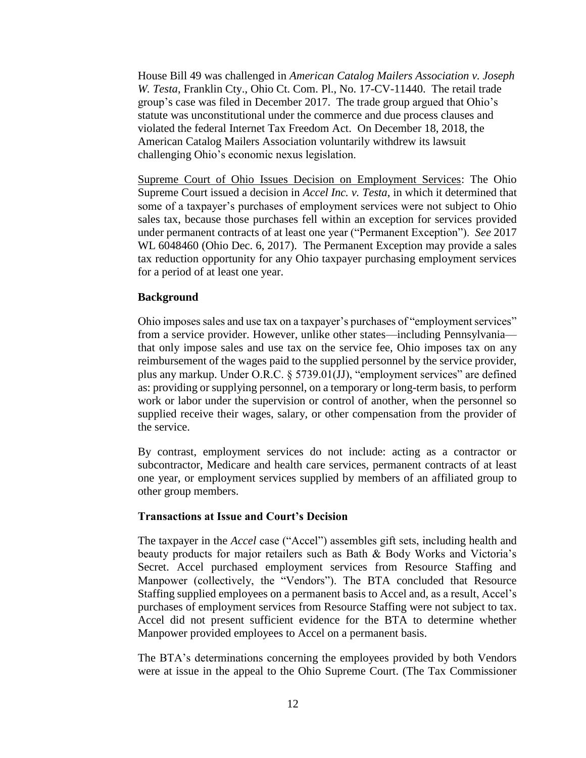House Bill 49 was challenged in *American Catalog Mailers Association v. Joseph W. Testa*, Franklin Cty., Ohio Ct. Com. Pl., No. 17-CV-11440. The retail trade group's case was filed in December 2017. The trade group argued that Ohio's statute was unconstitutional under the commerce and due process clauses and violated the federal Internet Tax Freedom Act. On December 18, 2018, the American Catalog Mailers Association voluntarily withdrew its lawsuit challenging Ohio's economic nexus legislation.

Supreme Court of Ohio Issues Decision on Employment Services: The Ohio Supreme Court issued a decision in *Accel Inc. v. Testa*, in which it determined that some of a taxpayer's purchases of employment services were not subject to Ohio sales tax, because those purchases fell within an exception for services provided under permanent contracts of at least one year ("Permanent Exception"). *See* 2017 WL 6048460 (Ohio Dec. 6, 2017). The Permanent Exception may provide a sales tax reduction opportunity for any Ohio taxpayer purchasing employment services for a period of at least one year.

#### **Background**

Ohio imposes sales and use tax on a taxpayer's purchases of "employment services" from a service provider. However, unlike other states—including Pennsylvania that only impose sales and use tax on the service fee, Ohio imposes tax on any reimbursement of the wages paid to the supplied personnel by the service provider, plus any markup. Under O.R.C. § 5739.01(JJ), "employment services" are defined as: providing or supplying personnel, on a temporary or long-term basis, to perform work or labor under the supervision or control of another, when the personnel so supplied receive their wages, salary, or other compensation from the provider of the service.

By contrast, employment services do not include: acting as a contractor or subcontractor, Medicare and health care services, permanent contracts of at least one year, or employment services supplied by members of an affiliated group to other group members.

#### **Transactions at Issue and Court's Decision**

The taxpayer in the *Accel* case ("Accel") assembles gift sets, including health and beauty products for major retailers such as Bath & Body Works and Victoria's Secret. Accel purchased employment services from Resource Staffing and Manpower (collectively, the "Vendors"). The BTA concluded that Resource Staffing supplied employees on a permanent basis to Accel and, as a result, Accel's purchases of employment services from Resource Staffing were not subject to tax. Accel did not present sufficient evidence for the BTA to determine whether Manpower provided employees to Accel on a permanent basis.

The BTA's determinations concerning the employees provided by both Vendors were at issue in the appeal to the Ohio Supreme Court. (The Tax Commissioner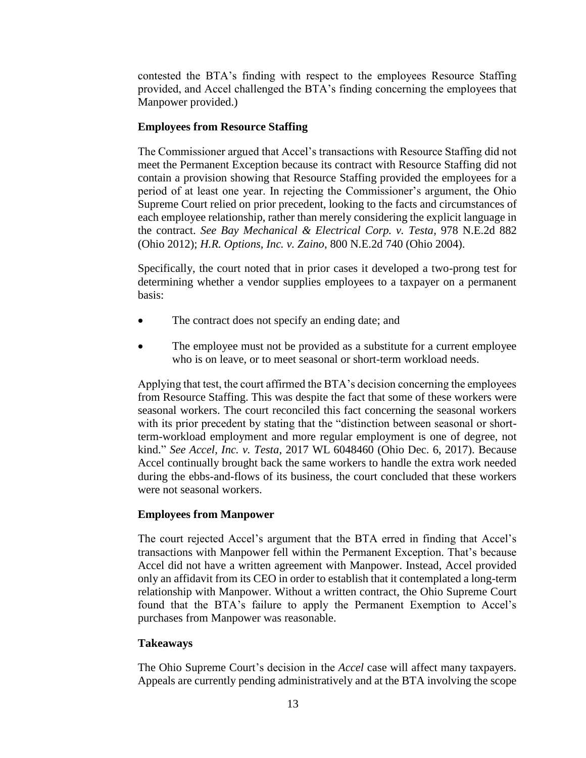contested the BTA's finding with respect to the employees Resource Staffing provided, and Accel challenged the BTA's finding concerning the employees that Manpower provided.)

#### **Employees from Resource Staffing**

The Commissioner argued that Accel's transactions with Resource Staffing did not meet the Permanent Exception because its contract with Resource Staffing did not contain a provision showing that Resource Staffing provided the employees for a period of at least one year. In rejecting the Commissioner's argument, the Ohio Supreme Court relied on prior precedent, looking to the facts and circumstances of each employee relationship, rather than merely considering the explicit language in the contract. *See Bay Mechanical & Electrical Corp. v. Testa*, 978 N.E.2d 882 (Ohio 2012); *H.R. Options, Inc. v. Zaino*, 800 N.E.2d 740 (Ohio 2004).

Specifically, the court noted that in prior cases it developed a two-prong test for determining whether a vendor supplies employees to a taxpayer on a permanent basis:

- The contract does not specify an ending date; and
- The employee must not be provided as a substitute for a current employee who is on leave, or to meet seasonal or short-term workload needs.

Applying that test, the court affirmed the BTA's decision concerning the employees from Resource Staffing. This was despite the fact that some of these workers were seasonal workers. The court reconciled this fact concerning the seasonal workers with its prior precedent by stating that the "distinction between seasonal or shortterm-workload employment and more regular employment is one of degree, not kind." *See Accel, Inc. v. Testa*, 2017 WL 6048460 (Ohio Dec. 6, 2017). Because Accel continually brought back the same workers to handle the extra work needed during the ebbs-and-flows of its business, the court concluded that these workers were not seasonal workers.

# **Employees from Manpower**

The court rejected Accel's argument that the BTA erred in finding that Accel's transactions with Manpower fell within the Permanent Exception. That's because Accel did not have a written agreement with Manpower. Instead, Accel provided only an affidavit from its CEO in order to establish that it contemplated a long-term relationship with Manpower. Without a written contract, the Ohio Supreme Court found that the BTA's failure to apply the Permanent Exemption to Accel's purchases from Manpower was reasonable.

# **Takeaways**

The Ohio Supreme Court's decision in the *Accel* case will affect many taxpayers. Appeals are currently pending administratively and at the BTA involving the scope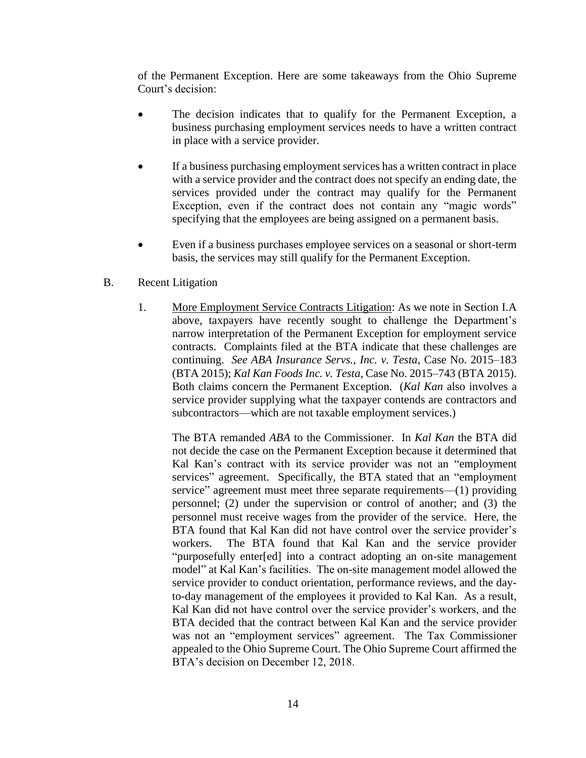of the Permanent Exception. Here are some takeaways from the Ohio Supreme Court's decision:

- The decision indicates that to qualify for the Permanent Exception, a business purchasing employment services needs to have a written contract in place with a service provider.
- If a business purchasing employment services has a written contract in place with a service provider and the contract does not specify an ending date, the services provided under the contract may qualify for the Permanent Exception, even if the contract does not contain any "magic words" specifying that the employees are being assigned on a permanent basis.
- Even if a business purchases employee services on a seasonal or short-term basis, the services may still qualify for the Permanent Exception.
- B. Recent Litigation
	- 1. More Employment Service Contracts Litigation: As we note in Section I.A above, taxpayers have recently sought to challenge the Department's narrow interpretation of the Permanent Exception for employment service contracts. Complaints filed at the BTA indicate that these challenges are continuing. *See ABA Insurance Servs., Inc. v. Testa*, Case No. 2015–183 (BTA 2015); *Kal Kan Foods Inc. v. Testa*, Case No. 2015–743 (BTA 2015). Both claims concern the Permanent Exception. (*Kal Kan* also involves a service provider supplying what the taxpayer contends are contractors and subcontractors—which are not taxable employment services.)

The BTA remanded *ABA* to the Commissioner. In *Kal Kan* the BTA did not decide the case on the Permanent Exception because it determined that Kal Kan's contract with its service provider was not an "employment services" agreement. Specifically, the BTA stated that an "employment service" agreement must meet three separate requirements—(1) providing personnel; (2) under the supervision or control of another; and (3) the personnel must receive wages from the provider of the service. Here, the BTA found that Kal Kan did not have control over the service provider's workers. The BTA found that Kal Kan and the service provider "purposefully enter[ed] into a contract adopting an on-site management model" at Kal Kan's facilities. The on-site management model allowed the service provider to conduct orientation, performance reviews, and the dayto-day management of the employees it provided to Kal Kan. As a result, Kal Kan did not have control over the service provider's workers, and the BTA decided that the contract between Kal Kan and the service provider was not an "employment services" agreement. The Tax Commissioner appealed to the Ohio Supreme Court. The Ohio Supreme Court affirmed the BTA's decision on December 12, 2018.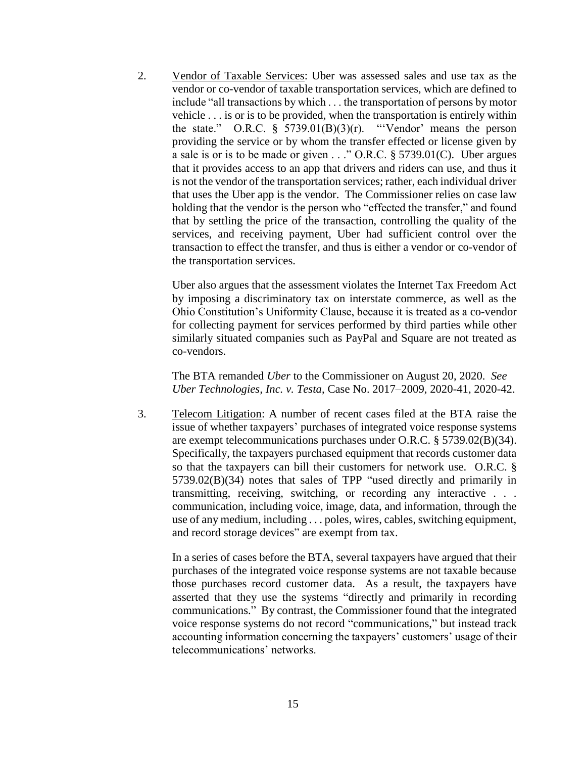2. Vendor of Taxable Services: Uber was assessed sales and use tax as the vendor or co-vendor of taxable transportation services, which are defined to include "all transactions by which . . . the transportation of persons by motor vehicle . . . is or is to be provided, when the transportation is entirely within the state." O.R.C.  $\frac{8}{5739.01(B)(3)(r)}$ . "'Vendor' means the person providing the service or by whom the transfer effected or license given by a sale is or is to be made or given . . ." O.R.C. § 5739.01(C). Uber argues that it provides access to an app that drivers and riders can use, and thus it is not the vendor of the transportation services; rather, each individual driver that uses the Uber app is the vendor. The Commissioner relies on case law holding that the vendor is the person who "effected the transfer," and found that by settling the price of the transaction, controlling the quality of the services, and receiving payment, Uber had sufficient control over the transaction to effect the transfer, and thus is either a vendor or co-vendor of the transportation services.

Uber also argues that the assessment violates the Internet Tax Freedom Act by imposing a discriminatory tax on interstate commerce, as well as the Ohio Constitution's Uniformity Clause, because it is treated as a co-vendor for collecting payment for services performed by third parties while other similarly situated companies such as PayPal and Square are not treated as co-vendors.

The BTA remanded *Uber* to the Commissioner on August 20, 2020. *See Uber Technologies, Inc. v. Testa*, Case No. 2017–2009, 2020-41, 2020-42.

3. Telecom Litigation: A number of recent cases filed at the BTA raise the issue of whether taxpayers' purchases of integrated voice response systems are exempt telecommunications purchases under O.R.C. § 5739.02(B)(34). Specifically, the taxpayers purchased equipment that records customer data so that the taxpayers can bill their customers for network use. O.R.C. § 5739.02(B)(34) notes that sales of TPP "used directly and primarily in transmitting, receiving, switching, or recording any interactive . . . communication, including voice, image, data, and information, through the use of any medium, including . . . poles, wires, cables, switching equipment, and record storage devices" are exempt from tax.

In a series of cases before the BTA, several taxpayers have argued that their purchases of the integrated voice response systems are not taxable because those purchases record customer data. As a result, the taxpayers have asserted that they use the systems "directly and primarily in recording communications." By contrast, the Commissioner found that the integrated voice response systems do not record "communications," but instead track accounting information concerning the taxpayers' customers' usage of their telecommunications' networks.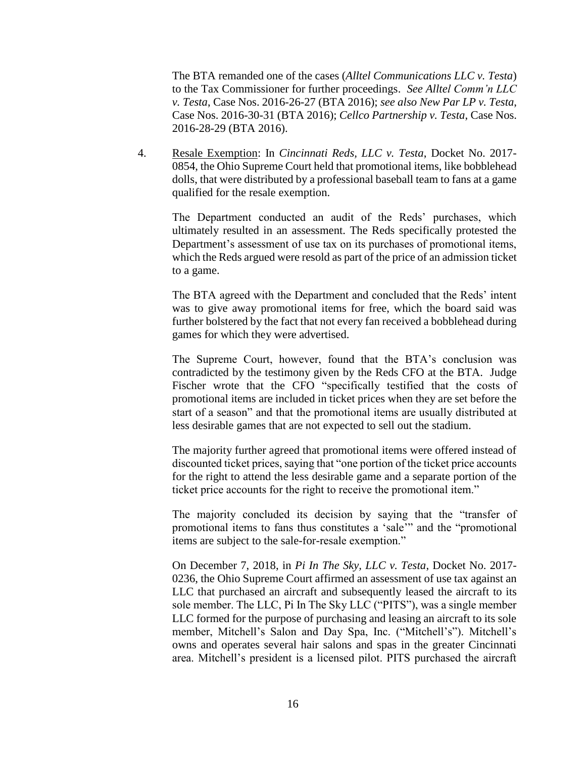The BTA remanded one of the cases (*Alltel Communications LLC v. Testa*) to the Tax Commissioner for further proceedings. *See Alltel Comm'n LLC v. Testa*, Case Nos. 2016-26-27 (BTA 2016); *see also New Par LP v. Testa*, Case Nos. 2016-30-31 (BTA 2016); *Cellco Partnership v. Testa*, Case Nos. 2016-28-29 (BTA 2016).

4. Resale Exemption: In *Cincinnati Reds, LLC v. Testa*, Docket No. 2017- 0854, the Ohio Supreme Court held that promotional items, like bobblehead dolls, that were distributed by a professional baseball team to fans at a game qualified for the resale exemption.

The Department conducted an audit of the Reds' purchases, which ultimately resulted in an assessment. The Reds specifically protested the Department's assessment of use tax on its purchases of promotional items, which the Reds argued were resold as part of the price of an admission ticket to a game.

The BTA agreed with the Department and concluded that the Reds' intent was to give away promotional items for free, which the board said was further bolstered by the fact that not every fan received a bobblehead during games for which they were advertised.

The Supreme Court, however, found that the BTA's conclusion was contradicted by the testimony given by the Reds CFO at the BTA. Judge Fischer wrote that the CFO "specifically testified that the costs of promotional items are included in ticket prices when they are set before the start of a season" and that the promotional items are usually distributed at less desirable games that are not expected to sell out the stadium.

The majority further agreed that promotional items were offered instead of discounted ticket prices, saying that "one portion of the ticket price accounts for the right to attend the less desirable game and a separate portion of the ticket price accounts for the right to receive the promotional item."

The majority concluded its decision by saying that the "transfer of promotional items to fans thus constitutes a 'sale'" and the "promotional items are subject to the sale-for-resale exemption."

On December 7, 2018, in *Pi In The Sky, LLC v. Testa*, Docket No. 2017- 0236, the Ohio Supreme Court affirmed an assessment of use tax against an LLC that purchased an aircraft and subsequently leased the aircraft to its sole member. The LLC, Pi In The Sky LLC ("PITS"), was a single member LLC formed for the purpose of purchasing and leasing an aircraft to its sole member, Mitchell's Salon and Day Spa, Inc. ("Mitchell's"). Mitchell's owns and operates several hair salons and spas in the greater Cincinnati area. Mitchell's president is a licensed pilot. PITS purchased the aircraft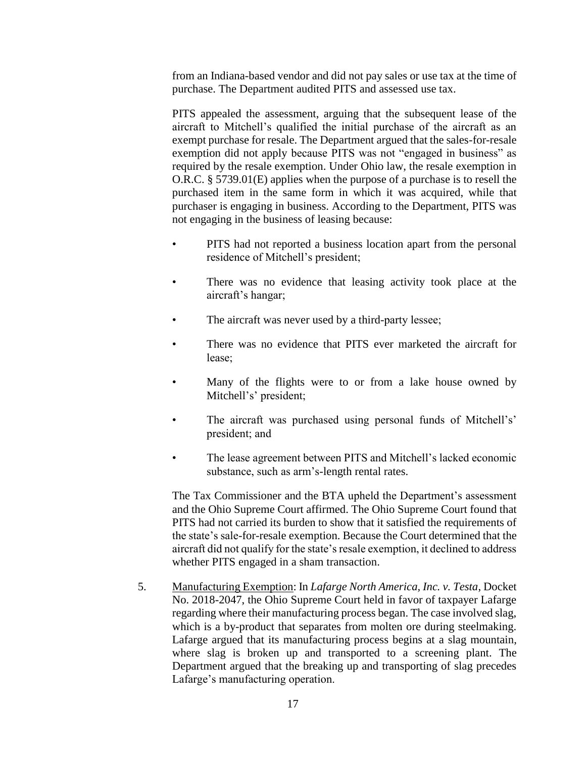from an Indiana-based vendor and did not pay sales or use tax at the time of purchase. The Department audited PITS and assessed use tax.

PITS appealed the assessment, arguing that the subsequent lease of the aircraft to Mitchell's qualified the initial purchase of the aircraft as an exempt purchase for resale. The Department argued that the sales-for-resale exemption did not apply because PITS was not "engaged in business" as required by the resale exemption. Under Ohio law, the resale exemption in O.R.C. § 5739.01(E) applies when the purpose of a purchase is to resell the purchased item in the same form in which it was acquired, while that purchaser is engaging in business. According to the Department, PITS was not engaging in the business of leasing because:

- PITS had not reported a business location apart from the personal residence of Mitchell's president;
- There was no evidence that leasing activity took place at the aircraft's hangar;
- The aircraft was never used by a third-party lessee;
- There was no evidence that PITS ever marketed the aircraft for lease;
- Many of the flights were to or from a lake house owned by Mitchell's' president;
- The aircraft was purchased using personal funds of Mitchell's' president; and
- The lease agreement between PITS and Mitchell's lacked economic substance, such as arm's-length rental rates.

The Tax Commissioner and the BTA upheld the Department's assessment and the Ohio Supreme Court affirmed. The Ohio Supreme Court found that PITS had not carried its burden to show that it satisfied the requirements of the state's sale-for-resale exemption. Because the Court determined that the aircraft did not qualify for the state's resale exemption, it declined to address whether PITS engaged in a sham transaction.

5. Manufacturing Exemption: In *Lafarge North America, Inc. v. Testa*, Docket No. 2018-2047, the Ohio Supreme Court held in favor of taxpayer Lafarge regarding where their manufacturing process began. The case involved slag, which is a by-product that separates from molten ore during steelmaking. Lafarge argued that its manufacturing process begins at a slag mountain, where slag is broken up and transported to a screening plant. The Department argued that the breaking up and transporting of slag precedes Lafarge's manufacturing operation.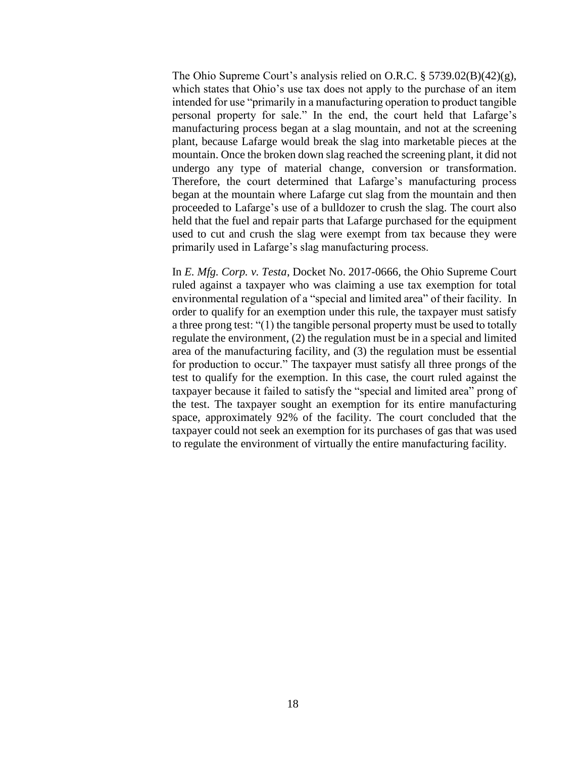The Ohio Supreme Court's analysis relied on O.R.C. § 5739.02(B)(42)(g), which states that Ohio's use tax does not apply to the purchase of an item intended for use "primarily in a manufacturing operation to product tangible personal property for sale." In the end, the court held that Lafarge's manufacturing process began at a slag mountain, and not at the screening plant, because Lafarge would break the slag into marketable pieces at the mountain. Once the broken down slag reached the screening plant, it did not undergo any type of material change, conversion or transformation. Therefore, the court determined that Lafarge's manufacturing process began at the mountain where Lafarge cut slag from the mountain and then proceeded to Lafarge's use of a bulldozer to crush the slag. The court also held that the fuel and repair parts that Lafarge purchased for the equipment used to cut and crush the slag were exempt from tax because they were primarily used in Lafarge's slag manufacturing process.

In *E. Mfg. Corp. v. Testa*, Docket No. 2017-0666, the Ohio Supreme Court ruled against a taxpayer who was claiming a use tax exemption for total environmental regulation of a "special and limited area" of their facility. In order to qualify for an exemption under this rule, the taxpayer must satisfy a three prong test: "(1) the tangible personal property must be used to totally regulate the environment, (2) the regulation must be in a special and limited area of the manufacturing facility, and (3) the regulation must be essential for production to occur." The taxpayer must satisfy all three prongs of the test to qualify for the exemption. In this case, the court ruled against the taxpayer because it failed to satisfy the "special and limited area" prong of the test. The taxpayer sought an exemption for its entire manufacturing space, approximately 92% of the facility. The court concluded that the taxpayer could not seek an exemption for its purchases of gas that was used to regulate the environment of virtually the entire manufacturing facility.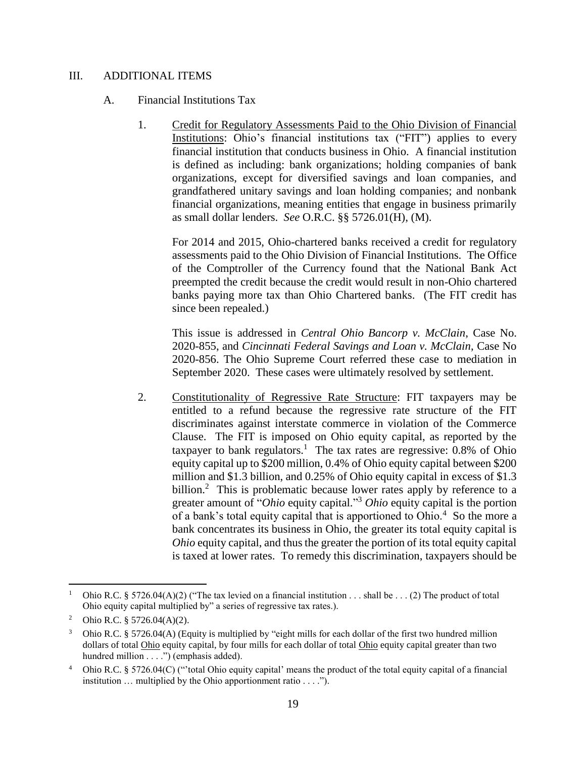# III. ADDITIONAL ITEMS

#### A. Financial Institutions Tax

1. Credit for Regulatory Assessments Paid to the Ohio Division of Financial Institutions: Ohio's financial institutions tax ("FIT") applies to every financial institution that conducts business in Ohio. A financial institution is defined as including: bank organizations; holding companies of bank organizations, except for diversified savings and loan companies, and grandfathered unitary savings and loan holding companies; and nonbank financial organizations, meaning entities that engage in business primarily as small dollar lenders. *See* O.R.C. §§ 5726.01(H), (M).

For 2014 and 2015, Ohio-chartered banks received a credit for regulatory assessments paid to the Ohio Division of Financial Institutions. The Office of the Comptroller of the Currency found that the National Bank Act preempted the credit because the credit would result in non-Ohio chartered banks paying more tax than Ohio Chartered banks. (The FIT credit has since been repealed.)

This issue is addressed in *Central Ohio Bancorp v. McClain*, Case No. 2020-855, and *Cincinnati Federal Savings and Loan v. McClain*, Case No 2020-856. The Ohio Supreme Court referred these case to mediation in September 2020. These cases were ultimately resolved by settlement.

2. Constitutionality of Regressive Rate Structure: FIT taxpayers may be entitled to a refund because the regressive rate structure of the FIT discriminates against interstate commerce in violation of the Commerce Clause. The FIT is imposed on Ohio equity capital, as reported by the taxpayer to bank regulators.<sup>1</sup> The tax rates are regressive:  $0.8\%$  of Ohio equity capital up to \$200 million, 0.4% of Ohio equity capital between \$200 million and \$1.3 billion, and 0.25% of Ohio equity capital in excess of \$1.3 billion.<sup>2</sup> This is problematic because lower rates apply by reference to a greater amount of "*Ohio* equity capital." <sup>3</sup> *Ohio* equity capital is the portion of a bank's total equity capital that is apportioned to Ohio.<sup>4</sup> So the more a bank concentrates its business in Ohio, the greater its total equity capital is *Ohio* equity capital, and thus the greater the portion of its total equity capital is taxed at lower rates. To remedy this discrimination, taxpayers should be

 $\overline{a}$ 

Ohio R.C. § 5726.04(A)(2) ("The tax levied on a financial institution . . . shall be . . . (2) The product of total Ohio equity capital multiplied by" a series of regressive tax rates.).

<sup>&</sup>lt;sup>2</sup> Ohio R.C. § 5726.04(A)(2).

<sup>3</sup> Ohio R.C. § 5726.04(A) (Equity is multiplied by "eight mills for each dollar of the first two hundred million dollars of total Ohio equity capital, by four mills for each dollar of total Ohio equity capital greater than two hundred million . . . .") (emphasis added).

<sup>4</sup> Ohio R.C. § 5726.04(C) ("'total Ohio equity capital' means the product of the total equity capital of a financial institution … multiplied by the Ohio apportionment ratio . . . .").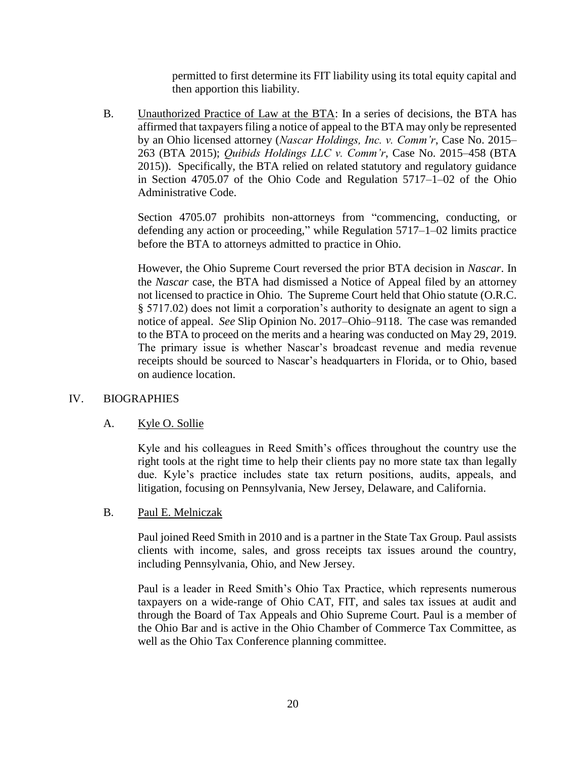permitted to first determine its FIT liability using its total equity capital and then apportion this liability.

B. Unauthorized Practice of Law at the BTA: In a series of decisions, the BTA has affirmed that taxpayers filing a notice of appeal to the BTA may only be represented by an Ohio licensed attorney (*Nascar Holdings, Inc. v. Comm'r*, Case No. 2015– 263 (BTA 2015); *Quibids Holdings LLC v. Comm'r*, Case No. 2015–458 (BTA 2015)). Specifically, the BTA relied on related statutory and regulatory guidance in Section 4705.07 of the Ohio Code and Regulation 5717–1–02 of the Ohio Administrative Code.

Section 4705.07 prohibits non-attorneys from "commencing, conducting, or defending any action or proceeding," while Regulation 5717–1–02 limits practice before the BTA to attorneys admitted to practice in Ohio.

However, the Ohio Supreme Court reversed the prior BTA decision in *Nascar*. In the *Nascar* case, the BTA had dismissed a Notice of Appeal filed by an attorney not licensed to practice in Ohio. The Supreme Court held that Ohio statute (O.R.C. § 5717.02) does not limit a corporation's authority to designate an agent to sign a notice of appeal. *See* Slip Opinion No. 2017–Ohio–9118. The case was remanded to the BTA to proceed on the merits and a hearing was conducted on May 29, 2019. The primary issue is whether Nascar's broadcast revenue and media revenue receipts should be sourced to Nascar's headquarters in Florida, or to Ohio, based on audience location.

# IV. BIOGRAPHIES

# A. Kyle O. Sollie

Kyle and his colleagues in Reed Smith's offices throughout the country use the right tools at the right time to help their clients pay no more state tax than legally due. Kyle's practice includes state tax return positions, audits, appeals, and litigation, focusing on Pennsylvania, New Jersey, Delaware, and California.

# B. Paul E. Melniczak

Paul joined Reed Smith in 2010 and is a partner in the State Tax Group. Paul assists clients with income, sales, and gross receipts tax issues around the country, including Pennsylvania, Ohio, and New Jersey.

Paul is a leader in Reed Smith's Ohio Tax Practice, which represents numerous taxpayers on a wide-range of Ohio CAT, FIT, and sales tax issues at audit and through the Board of Tax Appeals and Ohio Supreme Court. Paul is a member of the Ohio Bar and is active in the Ohio Chamber of Commerce Tax Committee, as well as the Ohio Tax Conference planning committee.